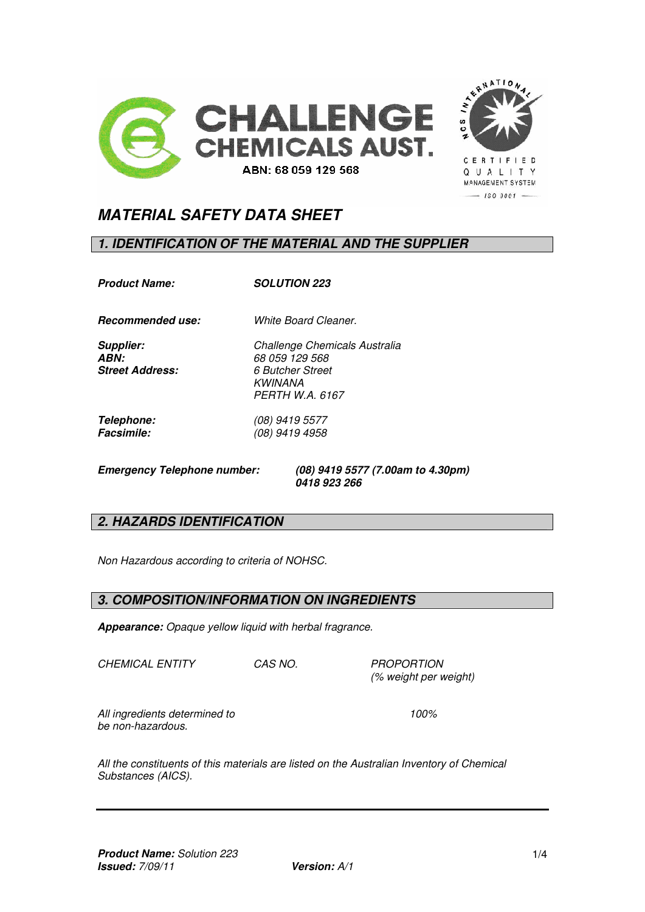



**CERTIFIED** Q U A L I T Y MANAGEMENT SYSTEM  $-$  190 3001  $-$ 

# *MATERIAL SAFETY DATA SHEET*

## *1. IDENTIFICATION OF THE MATERIAL AND THE SUPPLIER*

*Product Name: SOLUTION 223* 

*Recommended use: White Board Cleaner.*

*Supplier: Challenge Chemicals Australia* 

*ABN: 68 059 129 568 Street Address: 6 Butcher Street KWINANA PERTH W.A. 6167* 

*Telephone: (08) 9419 5577 Facsimile: (08) 9419 4958* 

*Emergency Telephone number: (08) 9419 5577 (7.00am to 4.30pm) 0418 923 266* 

# *2. HAZARDS IDENTIFICATION*

*Non Hazardous according to criteria of NOHSC.* 

## *3. COMPOSITION/INFORMATION ON INGREDIENTS*

*Appearance: Opaque yellow liquid with herbal fragrance.* 

*CHEMICAL ENTITY CAS NO. PROPORTION* 

 *(% weight per weight)* 

*All ingredients determined to 100% be non-hazardous.* 

*All the constituents of this materials are listed on the Australian Inventory of Chemical Substances (AICS).*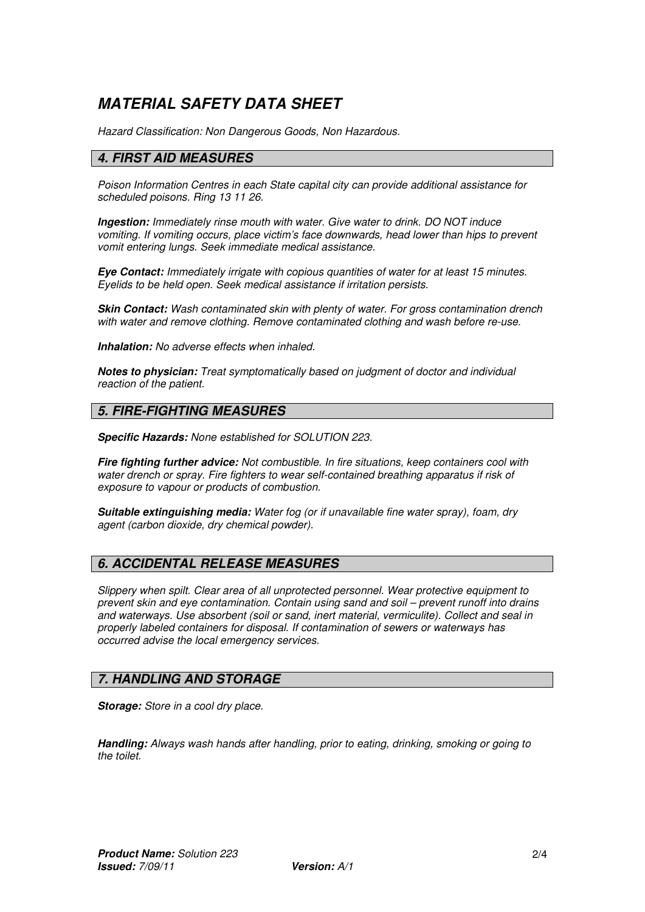# *MATERIAL SAFETY DATA SHEET*

*Hazard Classification: Non Dangerous Goods, Non Hazardous.* 

#### *4. FIRST AID MEASURES*

*Poison Information Centres in each State capital city can provide additional assistance for scheduled poisons. Ring 13 11 26.* 

*Ingestion: Immediately rinse mouth with water. Give water to drink. DO NOT induce vomiting. If vomiting occurs, place victim's face downwards, head lower than hips to prevent vomit entering lungs. Seek immediate medical assistance.* 

*Eye Contact: Immediately irrigate with copious quantities of water for at least 15 minutes. Eyelids to be held open. Seek medical assistance if irritation persists.* 

*Skin Contact: Wash contaminated skin with plenty of water. For gross contamination drench with water and remove clothing. Remove contaminated clothing and wash before re-use.* 

*Inhalation: No adverse effects when inhaled.* 

*Notes to physician: Treat symptomatically based on judgment of doctor and individual reaction of the patient.* 

#### *5. FIRE-FIGHTING MEASURES*

*Specific Hazards: None established for SOLUTION 223.* 

*Fire fighting further advice: Not combustible. In fire situations, keep containers cool with water drench or spray. Fire fighters to wear self-contained breathing apparatus if risk of exposure to vapour or products of combustion.* 

*Suitable extinguishing media: Water fog (or if unavailable fine water spray), foam, dry agent (carbon dioxide, dry chemical powder).* 

## *6. ACCIDENTAL RELEASE MEASURES*

*Slippery when spilt. Clear area of all unprotected personnel. Wear protective equipment to prevent skin and eye contamination. Contain using sand and soil – prevent runoff into drains and waterways. Use absorbent (soil or sand, inert material, vermiculite). Collect and seal in properly labeled containers for disposal. If contamination of sewers or waterways has occurred advise the local emergency services.* 

## *7. HANDLING AND STORAGE*

*Storage: Store in a cool dry place.* 

*Handling: Always wash hands after handling, prior to eating, drinking, smoking or going to the toilet.*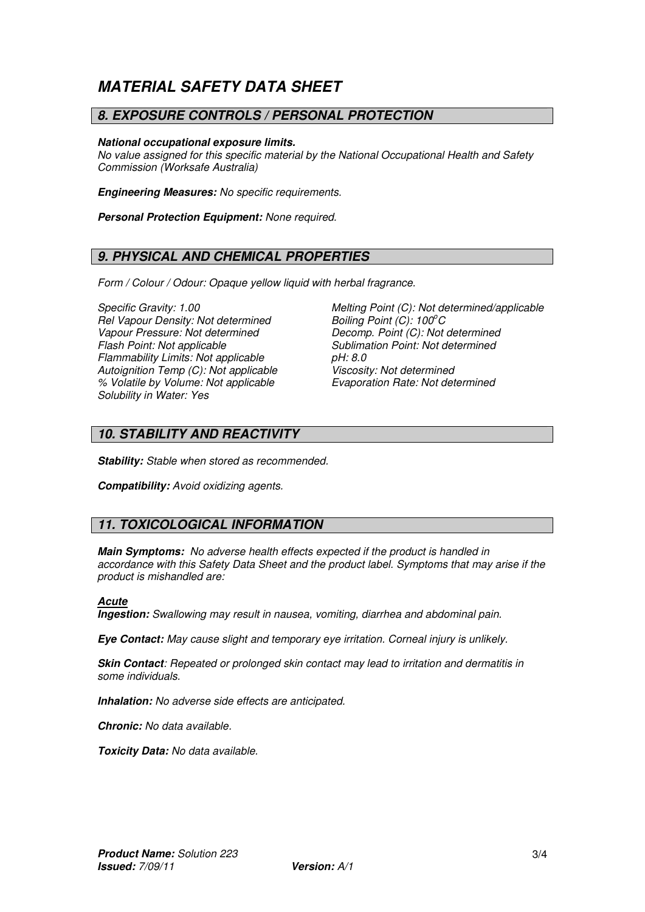# *MATERIAL SAFETY DATA SHEET*

#### *8. EXPOSURE CONTROLS / PERSONAL PROTECTION*

#### *National occupational exposure limits.*

*No value assigned for this specific material by the National Occupational Health and Safety Commission (Worksafe Australia)* 

*Engineering Measures: No specific requirements.* 

*Personal Protection Equipment: None required.* 

## *9. PHYSICAL AND CHEMICAL PROPERTIES*

*Form / Colour / Odour: Opaque yellow liquid with herbal fragrance.* 

*Rel Vapour Density: Not determined Boiling Point (C): 100<sup>o</sup>C Flash Point: Not applicable* Sublimation Point: Not determined<br>
Flammability Limits: Not applicable **Sublimation Point: Not determined** *Flammability Limits: Not applicable pH: 8.0 Autoignition Temp (C): Not applicable % Volatile by Volume: Not applicable Evaporation Rate: Not determined Solubility in Water: Yes* 

*Specific Gravity: 1.00 Melting Point (C): Not determined/applicable Decomp. Point (C): Not determined* 

#### *10. STABILITY AND REACTIVITY*

*Stability: Stable when stored as recommended.* 

*Compatibility: Avoid oxidizing agents.* 

## *11. TOXICOLOGICAL INFORMATION*

*Main Symptoms: No adverse health effects expected if the product is handled in accordance with this Safety Data Sheet and the product label. Symptoms that may arise if the product is mishandled are:* 

#### *Acute*

*Ingestion: Swallowing may result in nausea, vomiting, diarrhea and abdominal pain.* 

*Eye Contact: May cause slight and temporary eye irritation. Corneal injury is unlikely.* 

*Skin Contact: Repeated or prolonged skin contact may lead to irritation and dermatitis in some individuals.* 

*Inhalation: No adverse side effects are anticipated.* 

*Chronic: No data available.* 

*Toxicity Data: No data available.*